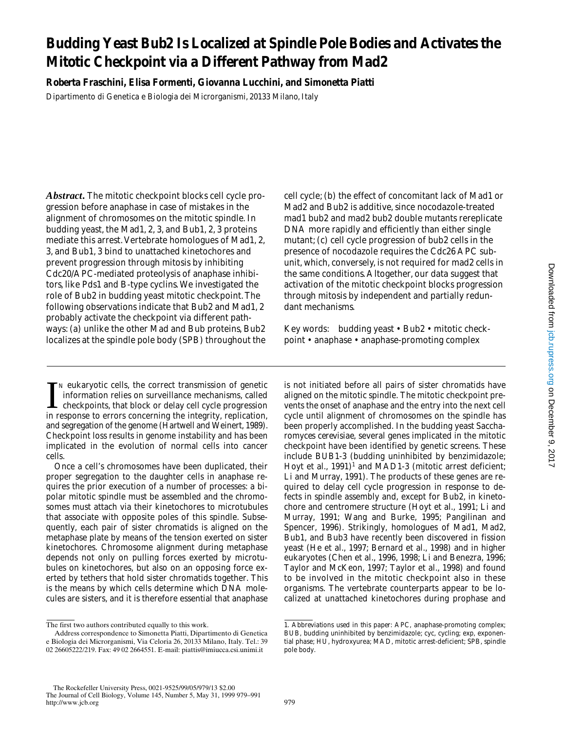# **Budding Yeast Bub2 Is Localized at Spindle Pole Bodies and Activates the Mitotic Checkpoint via a Different Pathway from Mad2**

**Roberta Fraschini, Elisa Formenti, Giovanna Lucchini, and Simonetta Piatti** Dipartimento di Genetica e Biologia dei Microrganismi, 20133 Milano, Italy

*Abstract.* The mitotic checkpoint blocks cell cycle progression before anaphase in case of mistakes in the alignment of chromosomes on the mitotic spindle. In budding yeast, the Mad1, 2, 3, and Bub1, 2, 3 proteins mediate this arrest. Vertebrate homologues of Mad1, 2, 3, and Bub1, 3 bind to unattached kinetochores and prevent progression through mitosis by inhibiting Cdc20/APC-mediated proteolysis of anaphase inhibitors, like Pds1 and B-type cyclins. We investigated the role of Bub2 in budding yeast mitotic checkpoint. The following observations indicate that Bub2 and Mad1, 2 probably activate the checkpoint via different pathways: (a) unlike the other Mad and Bub proteins, Bub2 localizes at the spindle pole body (SPB) throughout the

IN eukaryotic cells, the correct transmission of genetic information relies on surveillance mechanisms, called checkpoints, that block or delay cell cycle progression in response to errors concerning the integrity, replica  $\tau_N$  eukaryotic cells, the correct transmission of genetic information relies on surveillance mechanisms, called checkpoints, that block or delay cell cycle progression and segregation of the genome (Hartwell and Weinert, 1989). Checkpoint loss results in genome instability and has been implicated in the evolution of normal cells into cancer cells.

Once a cell's chromosomes have been duplicated, their proper segregation to the daughter cells in anaphase requires the prior execution of a number of processes: a bipolar mitotic spindle must be assembled and the chromosomes must attach via their kinetochores to microtubules that associate with opposite poles of this spindle. Subsequently, each pair of sister chromatids is aligned on the metaphase plate by means of the tension exerted on sister kinetochores. Chromosome alignment during metaphase depends not only on pulling forces exerted by microtubules on kinetochores, but also on an opposing force exerted by tethers that hold sister chromatids together. This is the means by which cells determine which DNA molecules are sisters, and it is therefore essential that anaphase cell cycle; (b) the effect of concomitant lack of Mad1 or Mad2 and Bub2 is additive, since nocodazole-treated *mad1 bub2* and *mad2 bub2* double mutants rereplicate DNA more rapidly and efficiently than either single mutant; (c) cell cycle progression of *bub2* cells in the presence of nocodazole requires the Cdc26 APC subunit, which, conversely, is not required for *mad2* cells in the same conditions. Altogether, our data suggest that activation of the mitotic checkpoint blocks progression through mitosis by independent and partially redundant mechanisms.

Key words: budding yeast • Bub2 • mitotic checkpoint • anaphase • anaphase-promoting complex

is not initiated before all pairs of sister chromatids have aligned on the mitotic spindle. The mitotic checkpoint prevents the onset of anaphase and the entry into the next cell cycle until alignment of chromosomes on the spindle has been properly accomplished. In the budding yeast *Saccharomyces cerevisiae*, several genes implicated in the mitotic checkpoint have been identified by genetic screens. These include *BUB1-3* (budding uninhibited by benzimidazole; Hoyt et al., 1991)<sup>1</sup> and *MAD1-3* (mitotic arrest deficient; Li and Murray, 1991). The products of these genes are required to delay cell cycle progression in response to defects in spindle assembly and, except for Bub2, in kinetochore and centromere structure (Hoyt et al., 1991; Li and Murray, 1991; Wang and Burke, 1995; Pangilinan and Spencer, 1996). Strikingly, homologues of Mad1, Mad2, Bub1, and Bub3 have recently been discovered in fission yeast (He et al., 1997; Bernard et al., 1998) and in higher eukaryotes (Chen et al., 1996, 1998; Li and Benezra, 1996; Taylor and McKeon, 1997; Taylor et al., 1998) and found to be involved in the mitotic checkpoint also in these organisms. The vertebrate counterparts appear to be localized at unattached kinetochores during prophase and

The first two authors contributed equally to this work.

Address correspondence to Simonetta Piatti, Dipartimento di Genetica e Biologia dei Microrganismi, Via Celoria 26, 20133 Milano, Italy. Tel.: 39 02 26605222/219. Fax: 49 02 2664551. E-mail: piattis@imiucca.csi.unimi.it

<sup>1.</sup> *Abbreviations used in this paper:* APC, anaphase-promoting complex; BUB, budding uninhibited by benzimidazole; cyc, cycling; exp, exponential phase; HU, hydroxyurea; MAD, mitotic arrest-deficient; SPB, spindle pole body.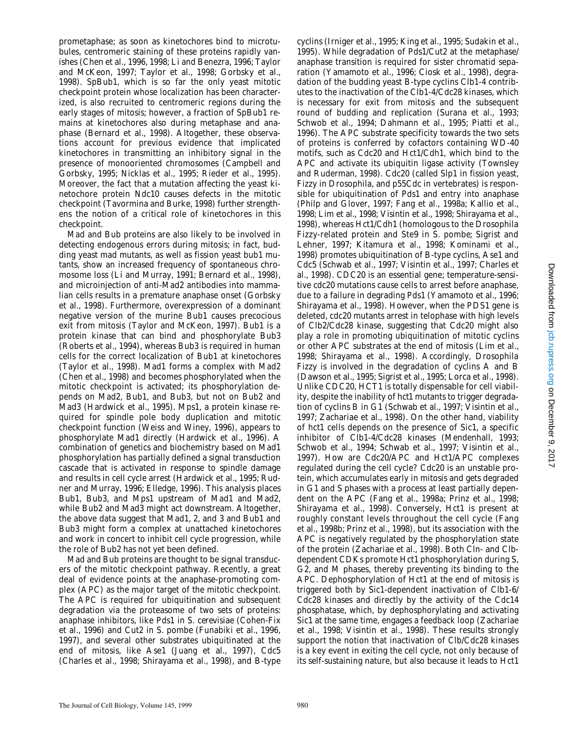prometaphase; as soon as kinetochores bind to microtubules, centromeric staining of these proteins rapidly vanishes (Chen et al., 1996, 1998; Li and Benezra, 1996; Taylor and McKeon, 1997; Taylor et al., 1998; Gorbsky et al., 1998). SpBub1, which is so far the only yeast mitotic checkpoint protein whose localization has been characterized, is also recruited to centromeric regions during the early stages of mitosis; however, a fraction of SpBub1 remains at kinetochores also during metaphase and anaphase (Bernard et al., 1998). Altogether, these observations account for previous evidence that implicated kinetochores in transmitting an inhibitory signal in the presence of monooriented chromosomes (Campbell and Gorbsky, 1995; Nicklas et al., 1995; Rieder et al., 1995). Moreover, the fact that a mutation affecting the yeast kinetochore protein Ndc10 causes defects in the mitotic checkpoint (Tavormina and Burke, 1998) further strengthens the notion of a critical role of kinetochores in this checkpoint.

Mad and Bub proteins are also likely to be involved in detecting endogenous errors during mitosis; in fact, budding yeast *mad* mutants, as well as fission yeast *bub1* mutants, show an increased frequency of spontaneous chromosome loss (Li and Murray, 1991; Bernard et al., 1998), and microinjection of anti-Mad2 antibodies into mammalian cells results in a premature anaphase onset (Gorbsky et al., 1998). Furthermore, overexpression of a dominant negative version of the murine Bub1 causes precocious exit from mitosis (Taylor and McKeon, 1997). Bub1 is a protein kinase that can bind and phosphorylate Bub3 (Roberts et al., 1994), whereas Bub3 is required in human cells for the correct localization of Bub1 at kinetochores (Taylor et al., 1998). Mad1 forms a complex with Mad2 (Chen et al., 1998) and becomes phosphorylated when the mitotic checkpoint is activated; its phosphorylation depends on Mad2, Bub1, and Bub3, but not on Bub2 and Mad3 (Hardwick et al., 1995). Mps1, a protein kinase required for spindle pole body duplication and mitotic checkpoint function (Weiss and Winey, 1996), appears to phosphorylate Mad1 directly (Hardwick et al., 1996). A combination of genetics and biochemistry based on Mad1 phosphorylation has partially defined a signal transduction cascade that is activated in response to spindle damage and results in cell cycle arrest (Hardwick et al., 1995; Rudner and Murray, 1996; Elledge, 1996). This analysis places Bub1, Bub3, and Mps1 upstream of Mad1 and Mad2, while Bub2 and Mad3 might act downstream. Altogether, the above data suggest that Mad1, 2, and 3 and Bub1 and Bub3 might form a complex at unattached kinetochores and work in concert to inhibit cell cycle progression, while the role of Bub2 has not yet been defined.

Mad and Bub proteins are thought to be signal transducers of the mitotic checkpoint pathway. Recently, a great deal of evidence points at the anaphase-promoting complex (APC) as the major target of the mitotic checkpoint. The APC is required for ubiquitination and subsequent degradation via the proteasome of two sets of proteins: anaphase inhibitors, like Pds1 in *S*. *cerevisiae* (Cohen-Fix et al., 1996) and Cut2 in *S*. *pombe* (Funabiki et al., 1996, 1997), and several other substrates ubiquitinated at the end of mitosis, like Ase1 (Juang et al., 1997), Cdc5 (Charles et al., 1998; Shirayama et al., 1998), and B-type cyclins (Irniger et al., 1995; King et al., 1995; Sudakin et al., 1995). While degradation of Pds1/Cut2 at the metaphase/ anaphase transition is required for sister chromatid separation (Yamamoto et al., 1996; Ciosk et al., 1998), degradation of the budding yeast B-type cyclins Clb1-4 contributes to the inactivation of the Clb1-4/Cdc28 kinases, which is necessary for exit from mitosis and the subsequent round of budding and replication (Surana et al., 1993; Schwob et al., 1994; Dahmann et al., 1995; Piatti et al., 1996). The APC substrate specificity towards the two sets of proteins is conferred by cofactors containing WD-40 motifs, such as Cdc20 and Hct1/Cdh1, which bind to the APC and activate its ubiquitin ligase activity (Townsley and Ruderman, 1998). Cdc20 (called Slp1 in fission yeast, Fizzy in *Drosophila*, and p55Cdc in vertebrates) is responsible for ubiquitination of Pds1 and entry into anaphase (Philp and Glover, 1997; Fang et al., 1998a; Kallio et al., 1998; Lim et al., 1998; Visintin et al., 1998; Shirayama et al., 1998), whereas Hct1/Cdh1 (homologous to the *Drosophila* Fizzy-related protein and Ste9 in *S*. *pombe*; Sigrist and Lehner, 1997; Kitamura et al., 1998; Kominami et al., 1998) promotes ubiquitination of B-type cyclins, Ase1 and Cdc5 (Schwab et al., 1997; Visintin et al., 1997; Charles et al., 1998). *CDC20* is an essential gene; temperature-sensitive *cdc20* mutations cause cells to arrest before anaphase, due to a failure in degrading Pds1 (Yamamoto et al., 1996; Shirayama et al., 1998). However, when the *PDS1* gene is deleted, *cdc20* mutants arrest in telophase with high levels of Clb2/Cdc28 kinase, suggesting that Cdc20 might also play a role in promoting ubiquitination of mitotic cyclins or other APC substrates at the end of mitosis (Lim et al., 1998; Shirayama et al., 1998). Accordingly, *Drosophila* Fizzy is involved in the degradation of cyclins A and B (Dawson et al., 1995; Sigrist et al., 1995; Lorca et al., 1998). Unlike *CDC20*, *HCT1* is totally dispensable for cell viability, despite the inability of *hct1* mutants to trigger degradation of cyclins B in G1 (Schwab et al., 1997; Visintin et al., 1997; Zachariae et al., 1998). On the other hand, viability of *hct1* cells depends on the presence of Sic1, a specific inhibitor of Clb1-4/Cdc28 kinases (Mendenhall, 1993; Schwob et al., 1994; Schwab et al., 1997; Visintin et al., 1997). How are Cdc20/APC and Hct1/APC complexes regulated during the cell cycle? Cdc20 is an unstable protein, which accumulates early in mitosis and gets degraded in G1 and S phases with a process at least partially dependent on the APC (Fang et al., 1998a; Prinz et al., 1998; Shirayama et al., 1998). Conversely, Hct1 is present at roughly constant levels throughout the cell cycle (Fang et al., 1998b; Prinz et al., 1998), but its association with the APC is negatively regulated by the phosphorylation state of the protein (Zachariae et al., 1998). Both Cln- and Clbdependent CDKs promote Hct1 phosphorylation during S, G2, and M phases, thereby preventing its binding to the APC. Dephosphorylation of Hct1 at the end of mitosis is triggered both by Sic1-dependent inactivation of Clb1-6/ Cdc28 kinases and directly by the activity of the Cdc14 phosphatase, which, by dephosphorylating and activating Sic1 at the same time, engages a feedback loop (Zachariae et al., 1998; Visintin et al., 1998). These results strongly support the notion that inactivation of Clb/Cdc28 kinases is a key event in exiting the cell cycle, not only because of its self-sustaining nature, but also because it leads to Hct1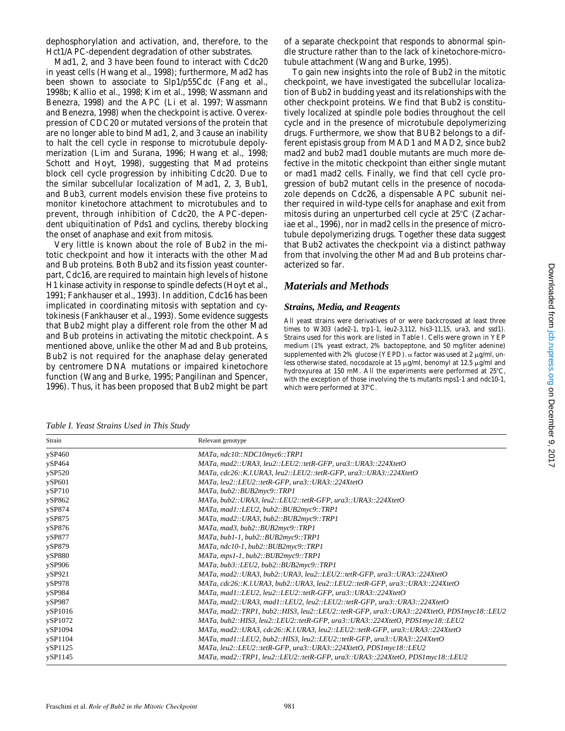dephosphorylation and activation, and, therefore, to the Hct1/APC-dependent degradation of other substrates.

Mad1, 2, and 3 have been found to interact with Cdc20 in yeast cells (Hwang et al., 1998); furthermore, Mad2 has been shown to associate to Slp1/p55Cdc (Fang et al., 1998b; Kallio et al., 1998; Kim et al., 1998; Wassmann and Benezra, 1998) and the APC (Li et al. 1997; Wassmann and Benezra, 1998) when the checkpoint is active. Overexpression of *CDC20* or mutated versions of the protein that are no longer able to bind Mad1, 2, and 3 cause an inability to halt the cell cycle in response to microtubule depolymerization (Lim and Surana, 1996; Hwang et al., 1998; Schott and Hoyt, 1998), suggesting that Mad proteins block cell cycle progression by inhibiting Cdc20. Due to the similar subcellular localization of Mad1, 2, 3, Bub1, and Bub3, current models envision these five proteins to monitor kinetochore attachment to microtubules and to prevent, through inhibition of Cdc20, the APC-dependent ubiquitination of Pds1 and cyclins, thereby blocking the onset of anaphase and exit from mitosis.

Very little is known about the role of Bub2 in the mitotic checkpoint and how it interacts with the other Mad and Bub proteins. Both Bub2 and its fission yeast counterpart, Cdc16, are required to maintain high levels of histone H1 kinase activity in response to spindle defects (Hoyt et al., 1991; Fankhauser et al., 1993). In addition, Cdc16 has been implicated in coordinating mitosis with septation and cytokinesis (Fankhauser et al., 1993). Some evidence suggests that Bub2 might play a different role from the other Mad and Bub proteins in activating the mitotic checkpoint. As mentioned above, unlike the other Mad and Bub proteins, Bub2 is not required for the anaphase delay generated by centromere DNA mutations or impaired kinetochore function (Wang and Burke, 1995; Pangilinan and Spencer, 1996). Thus, it has been proposed that Bub2 might be part of a separate checkpoint that responds to abnormal spindle structure rather than to the lack of kinetochore-microtubule attachment (Wang and Burke, 1995).

To gain new insights into the role of Bub2 in the mitotic checkpoint, we have investigated the subcellular localization of Bub2 in budding yeast and its relationships with the other checkpoint proteins. We find that Bub2 is constitutively localized at spindle pole bodies throughout the cell cycle and in the presence of microtubule depolymerizing drugs. Furthermore, we show that *BUB2* belongs to a different epistasis group from *MAD1* and *MAD2*, since *bub2 mad2* and *bub2 mad1* double mutants are much more defective in the mitotic checkpoint than either single mutant or *mad1 mad2* cells. Finally, we find that cell cycle progression of *bub2* mutant cells in the presence of nocodazole depends on Cdc26, a dispensable APC subunit neither required in wild-type cells for anaphase and exit from mitosis during an unperturbed cell cycle at  $25^{\circ}$ C (Zachariae et al., 1996), nor in *mad2* cells in the presence of microtubule depolymerizing drugs. Together these data suggest that Bub2 activates the checkpoint via a distinct pathway from that involving the other Mad and Bub proteins characterized so far.

## *Materials and Methods*

#### *Strains, Media, and Reagents*

All yeast strains were derivatives of or were backcrossed at least three times to W303 (*ade2-1*, *trp1-1*, *leu2-3*,*112*, *his3-11,15*, *ura3*, and *ssd1*). Strains used for this work are listed in Table I. Cells were grown in YEP medium (1% yeast extract, 2% bactopeptone, and 50 mg/liter adenine) supplemented with 2% glucose (YEPD).  $\alpha$  factor was used at 2  $\mu$ g/ml, unless otherwise stated, nocodazole at 15  $\mu$ g/ml, benomyl at 12.5  $\mu$ g/ml and hydroxyurea at 150 mM. All the experiments were performed at  $25^{\circ}$ C, with the exception of those involving the ts mutants *mps1-1* and *ndc10-1*, which were performed at 37°C.

*Table I. Yeast Strains Used in This Study*

| Strain  | Relevant genotype                                                                         |
|---------|-------------------------------------------------------------------------------------------|
| ySP460  | MATa, ndc10::NDC10myc6::TRP1                                                              |
| ySP464  | MATa, mad2::URA3, leu2::LEU2::tetR-GFP, ura3::URA3::224XtetO                              |
| ySP520  | MATa, cdc26::K.l.URA3, leu2::LEU2::tetR-GFP, ura3::URA3::224XtetO                         |
| ySP601  | MATa, leu2::LEU2::tetR-GFP, ura3::URA3::224XtetO                                          |
| ySP710  | MATa, bub2::BUB2myc9::TRP1                                                                |
| ySP862  | MATa, bub2::URA3, leu2::LEU2::tetR-GFP, ura3::URA3::224XtetO                              |
| ySP874  | MATa, mad1::LEU2, bub2::BUB2myc9::TRP1                                                    |
| ySP875  | MATa, mad2::URA3, bub2::BUB2myc9::TRP1                                                    |
| ySP876  | MATa, mad3, bub2::BUB2myc9::TRP1                                                          |
| ySP877  | MATa, bub1-1, bub2::BUB2myc9::TRP1                                                        |
| ySP879  | MATa, ndc10-1, bub2::BUB2myc9::TRP1                                                       |
| ySP880  | MATa, mps1-1, bub2::BUB2myc9::TRP1                                                        |
| ySP906  | $MATA, bub3::LEU2, bub2::BUB2myc9::TRPI$                                                  |
| ySP921  | MATa, mad2::URA3, bub2::URA3, leu2::LEU2::tetR-GFP, ura3::URA3::224XtetO                  |
| ySP978  | MATa, cdc26::K.l.URA3, bub2::URA3, leu2::LEU2::tetR-GFP, ura3::URA3::224XtetO             |
| ySP984  | MATa, mad1::LEU2, leu2::LEU2::tetR-GFP, ura3::URA3::224XtetO                              |
| ySP987  | MATa, mad2::URA3, mad1::LEU2, leu2::LEU2::tetR-GFP, ura3::URA3::224XtetO                  |
| ySP1016 | MATa, mad2::TRP1, bub2::HIS3, leu2::LEU2::tetR-GFP, ura3::URA3::224XtetO, PDS1myc18::LEU2 |
| ySP1072 | MATa, bub2::HIS3, leu2::LEU2::tetR-GFP, ura3::URA3::224XtetO, PDS1myc18::LEU2             |
| ySP1094 | MATa, mad2::URA3, cdc26::K.l.URA3, leu2::LEU2::tetR-GFP, ura3::URA3::224XtetO             |
| ySP1104 | MATa, mad1::LEU2, bub2::HIS3, leu2::LEU2::tetR-GFP, ura3::URA3::224XtetO                  |
| ySP1125 | MATa, leu2::LEU2::tetR-GFP, ura3::URA3::224XtetO, PDS1myc18::LEU2                         |
| ySP1145 | MATa, mad2::TRP1, leu2::LEU2::tetR-GFP, ura3::URA3::224XtetO, PDS1myc18::LEU2             |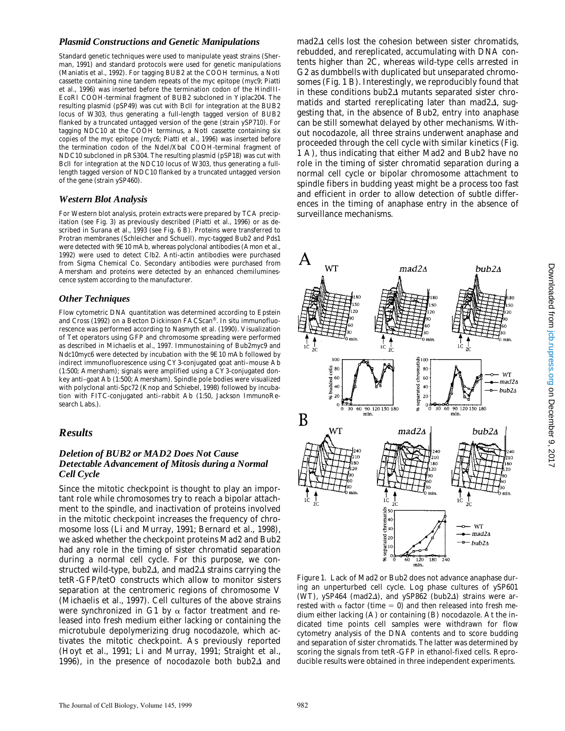#### *Plasmid Constructions and Genetic Manipulations*

Standard genetic techniques were used to manipulate yeast strains (Sherman, 1991) and standard protocols were used for genetic manipulations (Maniatis et al., 1992). For tagging *BUB2* at the COOH terminus, a NotI cassette containing nine tandem repeats of the myc epitope (myc9; Piatti et al., 1996) was inserted before the termination codon of the HindIII-EcoRI COOH-terminal fragment of *BUB2* subcloned in Yiplac204. The resulting plasmid (pSP49) was cut with BclI for integration at the *BUB2* locus of W303, thus generating a full-length tagged version of *BUB2* flanked by a truncated untagged version of the gene (strain ySP710). For tagging *NDC10* at the COOH terminus, a NotI cassette containing six copies of the myc epitope (myc6; Piatti et al., 1996) was inserted before the termination codon of the NdeI/XbaI COOH-terminal fragment of *NDC10* subcloned in pRS304. The resulting plasmid (pSP18) was cut with BclI for integration at the *NDC10* locus of W303, thus generating a fulllength tagged version of *NDC10* flanked by a truncated untagged version of the gene (strain ySP460).

#### *Western Blot Analysis*

For Western blot analysis, protein extracts were prepared by TCA precipitation (see Fig. 3) as previously described (Piatti et al., 1996) or as described in Surana et al., 1993 (see Fig. 6 B). Proteins were transferred to Protran membranes (Schleicher and Schuell). myc-tagged Bub2 and Pds1 were detected with 9E10 mAb, whereas polyclonal antibodies (Amon et al., 1992) were used to detect Clb2. Anti-actin antibodies were purchased from Sigma Chemical Co. Secondary antibodies were purchased from Amersham and proteins were detected by an enhanced chemiluminescence system according to the manufacturer.

#### *Other Techniques*

Flow cytometric DNA quantitation was determined according to Epstein and Cross (1992) on a Becton Dickinson FACScan®. In situ immunofluorescence was performed according to Nasmyth et al. (1990). Visualization of Tet operators using GFP and chromosome spreading were performed as described in Michaelis et al., 1997. Immunostaining of Bub2myc9 and Ndc10myc6 were detected by incubation with the 9E10 mAb followed by indirect immunofluorescence using CY3-conjugated goat anti–mouse Ab (1:500; Amersham); signals were amplified using a CY3-conjugated donkey anti–goat Ab (1:500; Amersham). Spindle pole bodies were visualized with polyclonal anti-Spc72 (Knop and Schiebel, 1998) followed by incubation with FITC-conjugated anti–rabbit Ab (1:50, Jackson ImmunoResearch Labs.).

### *Results*

#### *Deletion of BUB2 or MAD2 Does Not Cause Detectable Advancement of Mitosis during a Normal Cell Cycle*

Since the mitotic checkpoint is thought to play an important role while chromosomes try to reach a bipolar attachment to the spindle, and inactivation of proteins involved in the mitotic checkpoint increases the frequency of chromosome loss (Li and Murray, 1991; Bernard et al., 1998), we asked whether the checkpoint proteins Mad2 and Bub2 had any role in the timing of sister chromatid separation during a normal cell cycle. For this purpose, we constructed wild-type, *bub2* $\Delta$ , and *mad2* $\Delta$  strains carrying the tetR-GFP/tetO constructs which allow to monitor sisters separation at the centromeric regions of chromosome V (Michaelis et al., 1997). Cell cultures of the above strains were synchronized in G1 by  $\alpha$  factor treatment and released into fresh medium either lacking or containing the microtubule depolymerizing drug nocodazole, which activates the mitotic checkpoint. As previously reported (Hoyt et al., 1991; Li and Murray, 1991; Straight et al., 1996), in the presence of nocodazole both  $bub2\Delta$  and

*mad2*D cells lost the cohesion between sister chromatids, rebudded, and rereplicated, accumulating with DNA contents higher than 2C, whereas wild-type cells arrested in G2 as dumbbells with duplicated but unseparated chromosomes (Fig. 1 B). Interestingly, we reproducibly found that in these conditions  $bub2\Delta$  mutants separated sister chromatids and started rereplicating later than *mad2* $\Delta$ , suggesting that, in the absence of Bub2, entry into anaphase can be still somewhat delayed by other mechanisms. Without nocodazole, all three strains underwent anaphase and proceeded through the cell cycle with similar kinetics (Fig. 1 A), thus indicating that either Mad2 and Bub2 have no role in the timing of sister chromatid separation during a normal cell cycle or bipolar chromosome attachment to spindle fibers in budding yeast might be a process too fast and efficient in order to allow detection of subtle differences in the timing of anaphase entry in the absence of surveillance mechanisms.



*Figure 1.* Lack of Mad2 or Bub2 does not advance anaphase during an unperturbed cell cycle. Log phase cultures of ySP601 (WT), ySP464 ( $mad2\Delta$ ), and ySP862 ( $bub2\Delta$ ) strains were arrested with  $\alpha$  factor (time = 0) and then released into fresh medium either lacking (A) or containing (B) nocodazole. At the indicated time points cell samples were withdrawn for flow cytometry analysis of the DNA contents and to score budding and separation of sister chromatids. The latter was determined by scoring the signals from tetR-GFP in ethanol-fixed cells. Reproducible results were obtained in three independent experiments.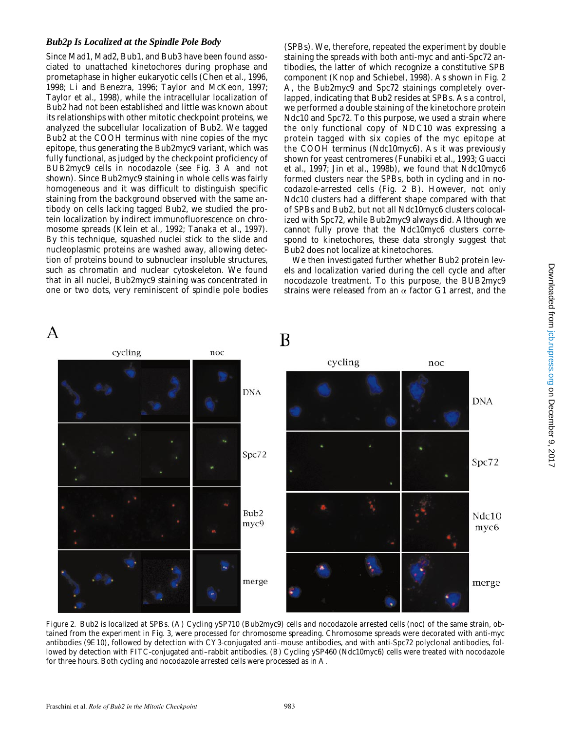#### *Bub2p Is Localized at the Spindle Pole Body*

Since Mad1, Mad2, Bub1, and Bub3 have been found associated to unattached kinetochores during prophase and prometaphase in higher eukaryotic cells (Chen et al., 1996, 1998; Li and Benezra, 1996; Taylor and McKeon, 1997; Taylor et al., 1998), while the intracellular localization of Bub2 had not been established and little was known about its relationships with other mitotic checkpoint proteins, we analyzed the subcellular localization of Bub2. We tagged Bub2 at the COOH terminus with nine copies of the myc epitope, thus generating the Bub2myc9 variant, which was fully functional, as judged by the checkpoint proficiency of *BUB2myc9* cells in nocodazole (see Fig. 3 A and not shown). Since Bub2myc9 staining in whole cells was fairly homogeneous and it was difficult to distinguish specific staining from the background observed with the same antibody on cells lacking tagged Bub2, we studied the protein localization by indirect immunofluorescence on chromosome spreads (Klein et al., 1992; Tanaka et al., 1997). By this technique, squashed nuclei stick to the slide and nucleoplasmic proteins are washed away, allowing detection of proteins bound to subnuclear insoluble structures, such as chromatin and nuclear cytoskeleton. We found that in all nuclei, Bub2myc9 staining was concentrated in one or two dots, very reminiscent of spindle pole bodies

(SPBs). We, therefore, repeated the experiment by double staining the spreads with both anti-myc and anti-Spc72 antibodies, the latter of which recognize a constitutive SPB component (Knop and Schiebel, 1998). As shown in Fig. 2 A, the Bub2myc9 and Spc72 stainings completely overlapped, indicating that Bub2 resides at SPBs. As a control, we performed a double staining of the kinetochore protein Ndc10 and Spc72. To this purpose, we used a strain where the only functional copy of *NDC10* was expressing a protein tagged with six copies of the myc epitope at the COOH terminus (Ndc10myc6). As it was previously shown for yeast centromeres (Funabiki et al., 1993; Guacci et al., 1997; Jin et al., 1998b), we found that Ndc10myc6 formed clusters near the SPBs, both in cycling and in nocodazole-arrested cells (Fig. 2 B). However, not only Ndc10 clusters had a different shape compared with that of SPBs and Bub2, but not all Ndc10myc6 clusters colocalized with Spc72, while Bub2myc9 always did. Although we cannot fully prove that the Ndc10myc6 clusters correspond to kinetochores, these data strongly suggest that Bub2 does not localize at kinetochores.

We then investigated further whether Bub2 protein levels and localization varied during the cell cycle and after nocodazole treatment. To this purpose, the *BUB2myc9* strains were released from an  $\alpha$  factor G1 arrest, and the



*Figure 2.* Bub2 is localized at SPBs. (A) Cycling ySP710 (Bub2myc9) cells and nocodazole arrested cells (noc) of the same strain, obtained from the experiment in Fig. 3, were processed for chromosome spreading. Chromosome spreads were decorated with anti-myc antibodies (9E10), followed by detection with CY3-conjugated anti–mouse antibodies, and with anti-Spc72 polyclonal antibodies, followed by detection with FITC-conjugated anti–rabbit antibodies. (B) Cycling ySP460 (Ndc10myc6) cells were treated with nocodazole for three hours. Both cycling and nocodazole arrested cells were processed as in A.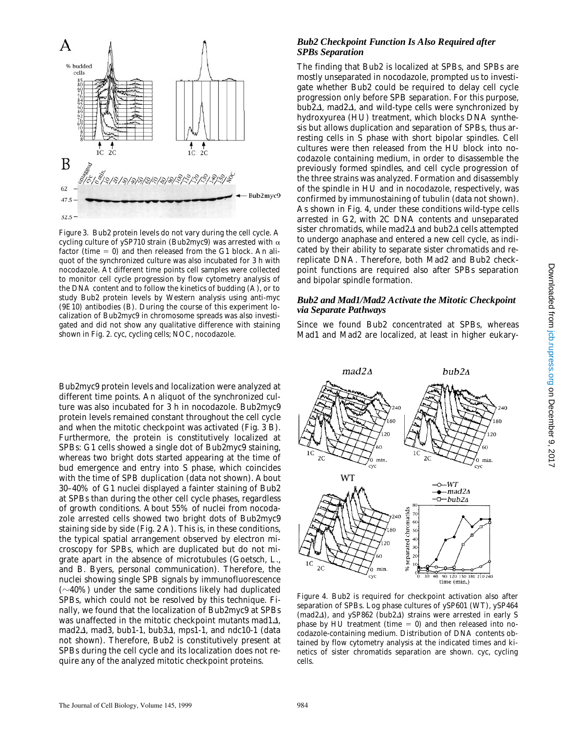

*Figure 3.* Bub2 protein levels do not vary during the cell cycle. A cycling culture of ySP710 strain (Bub2myc9) was arrested with  $\alpha$ factor (time  $= 0$ ) and then released from the G1 block. An aliquot of the synchronized culture was also incubated for 3 h with nocodazole. At different time points cell samples were collected to monitor cell cycle progression by flow cytometry analysis of the DNA content and to follow the kinetics of budding (A), or to study Bub2 protein levels by Western analysis using anti-myc (9E10) antibodies (B). During the course of this experiment localization of Bub2myc9 in chromosome spreads was also investigated and did not show any qualitative difference with staining shown in Fig. 2. cyc, cycling cells; NOC, nocodazole.

Bub2myc9 protein levels and localization were analyzed at different time points. An aliquot of the synchronized culture was also incubated for 3 h in nocodazole. Bub2myc9 protein levels remained constant throughout the cell cycle and when the mitotic checkpoint was activated (Fig. 3 B). Furthermore, the protein is constitutively localized at SPBs: G1 cells showed a single dot of Bub2myc9 staining, whereas two bright dots started appearing at the time of bud emergence and entry into S phase, which coincides with the time of SPB duplication (data not shown). About 30–40% of G1 nuclei displayed a fainter staining of Bub2 at SPBs than during the other cell cycle phases, regardless of growth conditions. About 55% of nuclei from nocodazole arrested cells showed two bright dots of Bub2myc9 staining side by side (Fig. 2 A). This is, in these conditions, the typical spatial arrangement observed by electron microscopy for SPBs, which are duplicated but do not migrate apart in the absence of microtubules (Goetsch, L., and B. Byers, personal communication). Therefore, the nuclei showing single SPB signals by immunofluorescence  $(\sim 40\%)$  under the same conditions likely had duplicated SPBs, which could not be resolved by this technique. Finally, we found that the localization of Bub2myc9 at SPBs was unaffected in the mitotic checkpoint mutants  $mad1\Delta$ , *mad2*D, *mad3*, *bub1-1*, *bub3*D, *mps1-1*, and *ndc10-1* (data not shown). Therefore, Bub2 is constitutively present at SPBs during the cell cycle and its localization does not require any of the analyzed mitotic checkpoint proteins.

#### *Bub2 Checkpoint Function Is Also Required after SPBs Separation*

The finding that Bub2 is localized at SPBs, and SPBs are mostly unseparated in nocodazole, prompted us to investigate whether Bub2 could be required to delay cell cycle progression only before SPB separation. For this purpose, *bub2* $\Delta$ *, mad2* $\Delta$ *, and wild-type cells were synchronized by* hydroxyurea (HU) treatment, which blocks DNA synthesis but allows duplication and separation of SPBs, thus arresting cells in S phase with short bipolar spindles. Cell cultures were then released from the HU block into nocodazole containing medium, in order to disassemble the previously formed spindles, and cell cycle progression of the three strains was analyzed. Formation and disassembly of the spindle in HU and in nocodazole, respectively, was confirmed by immunostaining of tubulin (data not shown). As shown in Fig. 4, under these conditions wild-type cells arrested in G2, with 2C DNA contents and unseparated sister chromatids, while *mad2*<sup> $\Delta$ </sup> and *bub2*<sup> $\Delta$ </sup> cells attempted to undergo anaphase and entered a new cell cycle, as indicated by their ability to separate sister chromatids and rereplicate DNA. Therefore, both Mad2 and Bub2 checkpoint functions are required also after SPBs separation and bipolar spindle formation.

#### *Bub2 and Mad1/Mad2 Activate the Mitotic Checkpoint via Separate Pathways*

Since we found Bub2 concentrated at SPBs, whereas Mad1 and Mad2 are localized, at least in higher eukary-



*Figure 4.* Bub2 is required for checkpoint activation also after separation of SPBs. Log phase cultures of ySP601 (WT), ySP464 (*mad2* $\Delta$ ), and ySP862 (*bub2* $\Delta$ ) strains were arrested in early S phase by HU treatment (time  $= 0$ ) and then released into nocodazole-containing medium. Distribution of DNA contents obtained by flow cytometry analysis at the indicated times and kinetics of sister chromatids separation are shown. cyc, cycling cells.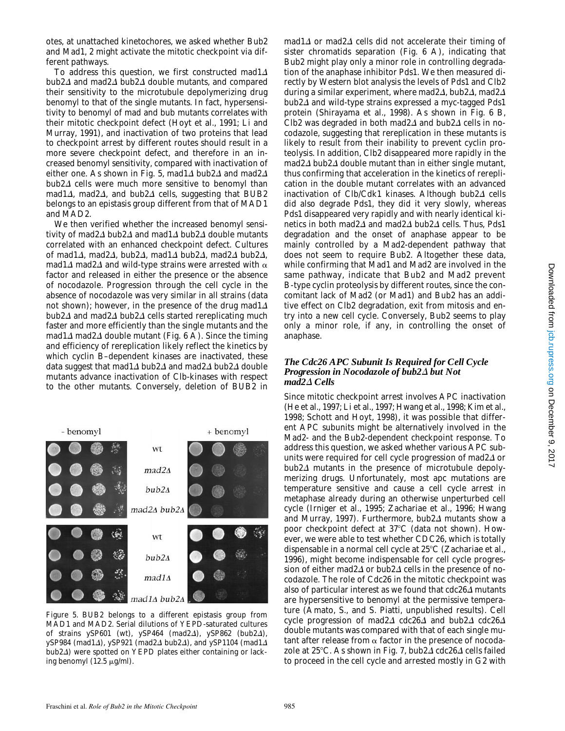otes, at unattached kinetochores, we asked whether Bub2 and Mad1, 2 might activate the mitotic checkpoint via different pathways.

To address this question, we first constructed  $mad1\Delta$ *bub2* $\Delta$  and *mad2* $\Delta$  *bub2* $\Delta$  double mutants, and compared their sensitivity to the microtubule depolymerizing drug benomyl to that of the single mutants. In fact, hypersensitivity to benomyl of *mad* and *bub* mutants correlates with their mitotic checkpoint defect (Hoyt et al., 1991; Li and Murray, 1991), and inactivation of two proteins that lead to checkpoint arrest by different routes should result in a more severe checkpoint defect, and therefore in an increased benomyl sensitivity, compared with inactivation of either one. As shown in Fig. 5, *mad1* $\Delta$  *bub2* $\Delta$  and *mad2* $\Delta$  $bub2\Delta$  cells were much more sensitive to benomyl than *mad1*D, *mad2*D, and *bub2*D cells, suggesting that *BUB*2 belongs to an epistasis group different from that of *MAD1* and *MAD2*.

We then verified whether the increased benomyl sensitivity of *mad2* $\Delta$  *bub2* $\Delta$  and *mad1* $\Delta$  *bub2* $\Delta$  double mutants correlated with an enhanced checkpoint defect. Cultures of *mad1*D, *mad2*D, *bub2*D, *mad1*D *bub2*D, *mad2*D *bub2*D, *mad1* $\Delta$  *mad2* $\Delta$  and wild-type strains were arrested with  $\alpha$ factor and released in either the presence or the absence of nocodazole. Progression through the cell cycle in the absence of nocodazole was very similar in all strains (data not shown); however, in the presence of the drug  $m \frac{a}{\Delta}$  $bub2\Delta$  and  $mad2\Delta$   $bub2\Delta$  cells started rereplicating much faster and more efficiently than the single mutants and the  $mad1\Delta$  *mad2* $\Delta$  double mutant (Fig. 6 A). Since the timing and efficiency of rereplication likely reflect the kinetics by which cyclin B–dependent kinases are inactivated, these data suggest that  $mad1\Delta$  *bub2* $\Delta$  and  $mad2\Delta$  *bub2* $\Delta$  double mutants advance inactivation of Clb-kinases with respect to the other mutants. Conversely, deletion of *BUB2* in



*Figure 5. BUB2* belongs to a different epistasis group from *MAD1* and *MAD2*. Serial dilutions of YEPD-saturated cultures of strains ySP601 (wt), ySP464 (*mad2*D), ySP862 (*bub2*D), ySP984 (*mad1*D), ySP921 (*mad2*D *bub2*D), and ySP1104 (*mad1*D *bub2* $\triangle$ ) were spotted on YEPD plates either containing or lacking benomyl  $(12.5 \mu g/ml)$ .

 $mad1\Delta$  or  $mad2\Delta$  cells did not accelerate their timing of sister chromatids separation (Fig. 6 A), indicating that Bub2 might play only a minor role in controlling degradation of the anaphase inhibitor Pds1. We then measured directly by Western blot analysis the levels of Pds1 and Clb2 during a similar experiment, where *mad2* $\Delta$ , *bub2* $\Delta$ , *mad2* $\Delta$  $bub2\overline{\Delta}$  and wild-type strains expressed a myc-tagged Pds1 protein (Shirayama et al., 1998). As shown in Fig. 6 B, Clb2 was degraded in both  $mad2\Delta$  and  $bub2\Delta$  cells in nocodazole, suggesting that rereplication in these mutants is likely to result from their inability to prevent cyclin proteolysis. In addition, Clb2 disappeared more rapidly in the  $mad2\Delta$  *bub2* $\Delta$  double mutant than in either single mutant, thus confirming that acceleration in the kinetics of rereplication in the double mutant correlates with an advanced inactivation of Clb/Cdk1 kinases. Although *bub2*<sup>1</sup> cells did also degrade Pds1, they did it very slowly, whereas Pds1 disappeared very rapidly and with nearly identical kinetics in both *mad2*D and *mad2*D *bub2*D cells. Thus, Pds1 degradation and the onset of anaphase appear to be mainly controlled by a Mad2-dependent pathway that does not seem to require Bub2. Altogether these data, while confirming that Mad1 and Mad2 are involved in the same pathway, indicate that Bub2 and Mad2 prevent B-type cyclin proteolysis by different routes, since the concomitant lack of Mad2 (or Mad1) and Bub2 has an additive effect on Clb2 degradation, exit from mitosis and entry into a new cell cycle. Conversely, Bub2 seems to play only a minor role, if any, in controlling the onset of anaphase.

#### *The Cdc26 APC Subunit Is Required for Cell Cycle Progression in Nocodazole of bub2* $\Delta$  *but Not mad2*D *Cells*

Since mitotic checkpoint arrest involves APC inactivation (He et al., 1997; Li et al., 1997; Hwang et al., 1998; Kim et al., 1998; Schott and Hoyt, 1998), it was possible that different APC subunits might be alternatively involved in the Mad2- and the Bub2-dependent checkpoint response. To address this question, we asked whether various APC subunits were required for cell cycle progression of *mad2* $\Delta$  or *bub2*D mutants in the presence of microtubule depolymerizing drugs. Unfortunately, most *apc* mutations are temperature sensitive and cause a cell cycle arrest in metaphase already during an otherwise unperturbed cell cycle (Irniger et al., 1995; Zachariae et al., 1996; Hwang and Murray, 1997). Furthermore, *bub2*D mutants show a poor checkpoint defect at 37°C (data not shown). However, we were able to test whether *CDC26*, which is totally dispensable in a normal cell cycle at  $25^{\circ}$ C (Zachariae et al., 1996), might become indispensable for cell cycle progression of either *mad2* $\Delta$  or *bub2* $\Delta$  cells in the presence of nocodazole. The role of Cdc26 in the mitotic checkpoint was also of particular interest as we found that *cdc26*<sup>A</sup> mutants are hypersensitive to benomyl at the permissive temperature (Amato, S., and S. Piatti, unpublished results). Cell cycle progression of *mad2*D *cdc26*D and *bub2*D *cdc26*D double mutants was compared with that of each single mutant after release from  $\alpha$  factor in the presence of nocodazole at 258C. As shown in Fig. 7, *bub2*<sup>D</sup> *cdc26*D cells failed to proceed in the cell cycle and arrested mostly in G2 with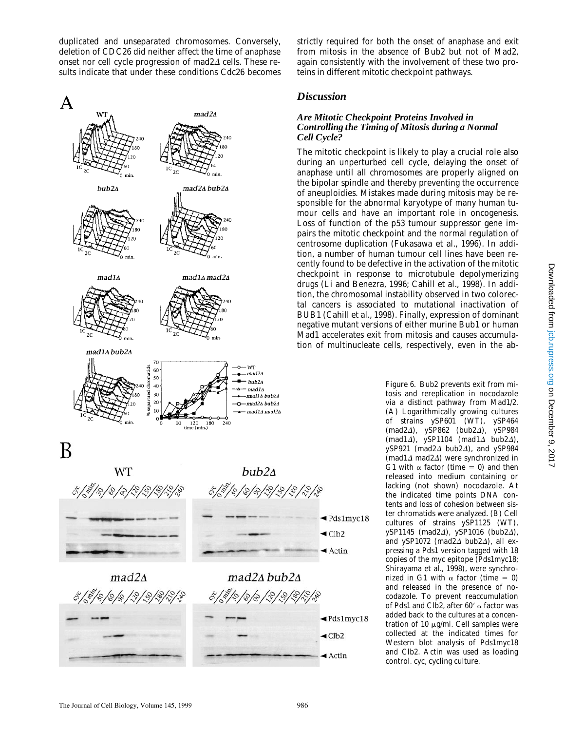duplicated and unseparated chromosomes. Conversely, deletion of *CDC26* did neither affect the time of anaphase onset nor cell cycle progression of *mad2* $\Delta$  cells. These results indicate that under these conditions Cdc26 becomes



strictly required for both the onset of anaphase and exit from mitosis in the absence of Bub2 but not of Mad2, again consistently with the involvement of these two proteins in different mitotic checkpoint pathways.

#### *Discussion*

#### *Are Mitotic Checkpoint Proteins Involved in Controlling the Timing of Mitosis during a Normal Cell Cycle?*

The mitotic checkpoint is likely to play a crucial role also during an unperturbed cell cycle, delaying the onset of anaphase until all chromosomes are properly aligned on the bipolar spindle and thereby preventing the occurrence of aneuploidies. Mistakes made during mitosis may be responsible for the abnormal karyotype of many human tumour cells and have an important role in oncogenesis. Loss of function of the p53 tumour suppressor gene impairs the mitotic checkpoint and the normal regulation of centrosome duplication (Fukasawa et al., 1996). In addition, a number of human tumour cell lines have been recently found to be defective in the activation of the mitotic checkpoint in response to microtubule depolymerizing drugs (Li and Benezra, 1996; Cahill et al., 1998). In addition, the chromosomal instability observed in two colorectal cancers is associated to mutational inactivation of *BUB1* (Cahill et al., 1998). Finally, expression of dominant negative mutant versions of either murine Bub1 or human Mad1 accelerates exit from mitosis and causes accumulation of multinucleate cells, respectively, even in the ab-

> *Figure 6.* Bub2 prevents exit from mitosis and rereplication in nocodazole via a distinct pathway from Mad1/2. (A) Logarithmically growing cultures of strains ySP601 (WT), ySP464 (*mad2*D), ySP862 (*bub2*D), ySP984 (*mad1*D), ySP1104 (*mad1*D *bub2*D), ySP921 ( $mad2\Delta$  *bub2* $\Delta$ ), and ySP984 (*mad1*D *mad2*D) were synchronized in G1 with  $\alpha$  factor (time = 0) and then released into medium containing or lacking (not shown) nocodazole. At the indicated time points DNA contents and loss of cohesion between sister chromatids were analyzed. (B) Cell cultures of strains ySP1125 (WT), ySP1145 (*mad2*D), ySP1016 (*bub2*D), and ySP1072 ( $madZ\Delta$  *bub2* $\Delta$ ), all expressing a Pds1 version tagged with 18 copies of the myc epitope (Pds1myc18; Shirayama et al., 1998), were synchronized in G1 with  $\alpha$  factor (time = 0) and released in the presence of nocodazole. To prevent reaccumulation of Pds1 and Clb2, after  $60'$   $\alpha$  factor was added back to the cultures at a concentration of 10  $\mu$ g/ml. Cell samples were collected at the indicated times for Western blot analysis of Pds1myc18 and Clb2. Actin was used as loading control. cyc, cycling culture.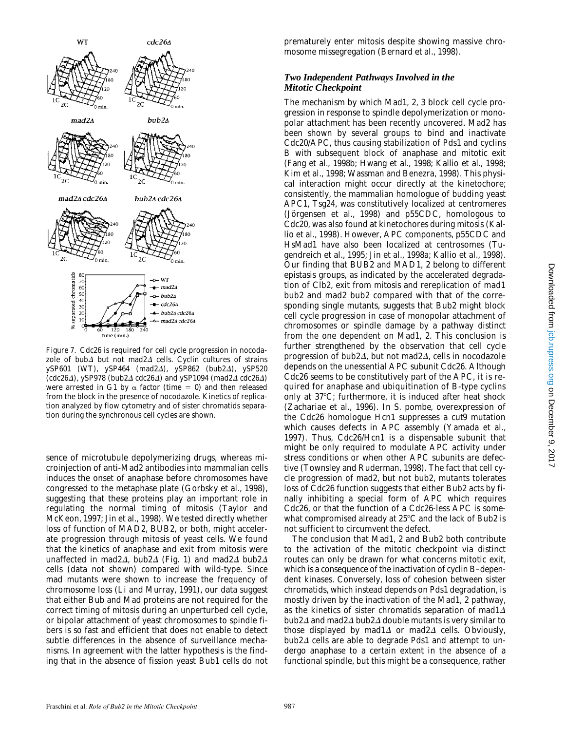

*Figure 7.* Cdc26 is required for cell cycle progression in nocodazole of *bub*<sup> $\Delta$ </sup> but not *mad2* $\Delta$  cells. Cyclin cultures of strains ySP601 (WT), ySP464 ( $mad2\Delta$ ), ySP862 ( $bub2\Delta$ ), ySP520 (*cdc26*D), ySP978 (*bub2*D *cdc26*D) and ySP1094 (*mad2*D *cdc26*D) were arrested in G1 by  $\alpha$  factor (time = 0) and then released from the block in the presence of nocodazole. Kinetics of replication analyzed by flow cytometry and of sister chromatids separation during the synchronous cell cycles are shown.

sence of microtubule depolymerizing drugs, whereas microinjection of anti-Mad2 antibodies into mammalian cells induces the onset of anaphase before chromosomes have congressed to the metaphase plate (Gorbsky et al., 1998), suggesting that these proteins play an important role in regulating the normal timing of mitosis (Taylor and McKeon, 1997; Jin et al., 1998). We tested directly whether loss of function of *MAD2*, *BUB2*, or both, might accelerate progression through mitosis of yeast cells. We found that the kinetics of anaphase and exit from mitosis were unaffected in *mad2* $\Delta$ *, bub2* $\Delta$  (Fig. 1) and *mad2* $\Delta$  *bub2* $\Delta$ cells (data not shown) compared with wild-type. Since *mad* mutants were shown to increase the frequency of chromosome loss (Li and Murray, 1991), our data suggest that either Bub and Mad proteins are not required for the correct timing of mitosis during an unperturbed cell cycle, or bipolar attachment of yeast chromosomes to spindle fibers is so fast and efficient that does not enable to detect subtle differences in the absence of surveillance mechanisms. In agreement with the latter hypothesis is the finding that in the absence of fission yeast Bub1 cells do not

prematurely enter mitosis despite showing massive chromosome missegregation (Bernard et al., 1998).

#### *Two Independent Pathways Involved in the Mitotic Checkpoint*

The mechanism by which Mad1, 2, 3 block cell cycle progression in response to spindle depolymerization or monopolar attachment has been recently uncovered. Mad2 has been shown by several groups to bind and inactivate Cdc20/APC, thus causing stabilization of Pds1 and cyclins B with subsequent block of anaphase and mitotic exit (Fang et al., 1998b; Hwang et al., 1998; Kallio et al., 1998; Kim et al., 1998; Wassman and Benezra, 1998). This physical interaction might occur directly at the kinetochore; consistently, the mammalian homologue of budding yeast *APC1*, Tsg24, was constitutively localized at centromeres (Jörgensen et al., 1998) and p55CDC, homologous to Cdc20, was also found at kinetochores during mitosis (Kallio et al., 1998). However, APC components, p55CDC and HsMad1 have also been localized at centrosomes (Tugendreich et al., 1995; Jin et al., 1998a; Kallio et al., 1998). Our finding that *BUB2* and *MAD1, 2* belong to different epistasis groups, as indicated by the accelerated degradation of Clb2, exit from mitosis and rereplication of *mad1 bub2* and *mad2 bub2* compared with that of the corresponding single mutants, suggests that Bub2 might block cell cycle progression in case of monopolar attachment of chromosomes or spindle damage by a pathway distinct from the one dependent on Mad1, 2. This conclusion is further strengthened by the observation that cell cycle progression of *bub2* $\Delta$ , but not *mad2* $\Delta$ , cells in nocodazole depends on the unessential APC subunit Cdc26. Although Cdc26 seems to be constitutively part of the APC, it is required for anaphase and ubiquitination of B-type cyclins only at  $37^{\circ}$ C; furthermore, it is induced after heat shock (Zachariae et al., 1996). In *S*. *pombe*, overexpression of the Cdc26 homologue Hcn1 suppresses a *cut9* mutation which causes defects in APC assembly (Yamada et al., 1997). Thus, Cdc26/Hcn1 is a dispensable subunit that might be only required to modulate APC activity under stress conditions or when other APC subunits are defective (Townsley and Ruderman, 1998). The fact that cell cycle progression of *mad2*, but not *bub2*, mutants tolerates loss of Cdc26 function suggests that either Bub2 acts by finally inhibiting a special form of APC which requires Cdc26, or that the function of a Cdc26-less APC is somewhat compromised already at  $25^{\circ}$ C and the lack of Bub2 is not sufficient to circumvent the defect.

The conclusion that Mad1, 2 and Bub2 both contribute to the activation of the mitotic checkpoint via distinct routes can only be drawn for what concerns mitotic exit, which is a consequence of the inactivation of cyclin B–dependent kinases. Conversely, loss of cohesion between sister chromatids, which instead depends on Pds1 degradation, is mostly driven by the inactivation of the Mad1, 2 pathway, as the kinetics of sister chromatids separation of  $mad1\Delta$  $bub2\Delta$  and *mad2* $\Delta$  *bub2* $\Delta$  double mutants is very similar to those displayed by  $mad1\Delta$  or  $mad2\Delta$  cells. Obviously, *bub2* $\Delta$  cells are able to degrade Pds1 and attempt to undergo anaphase to a certain extent in the absence of a functional spindle, but this might be a consequence, rather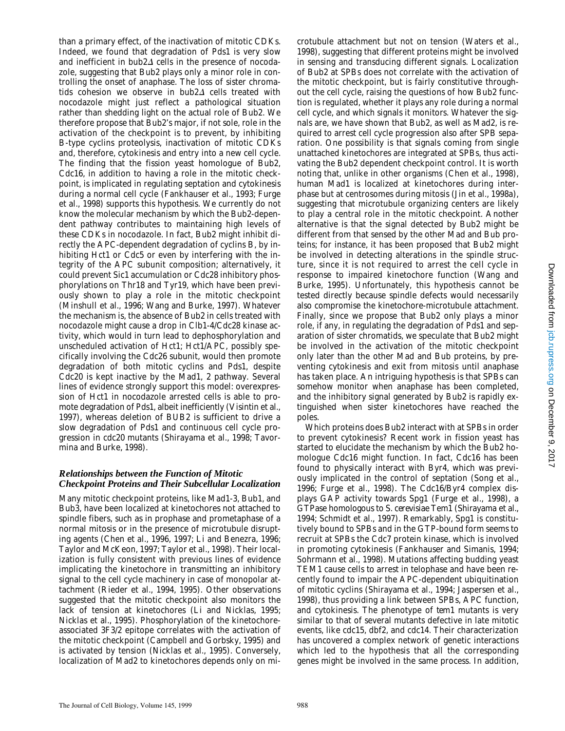than a primary effect, of the inactivation of mitotic CDKs. Indeed, we found that degradation of Pds1 is very slow and inefficient in  $bub2\Delta$  cells in the presence of nocodazole, suggesting that Bub2 plays only a minor role in controlling the onset of anaphase. The loss of sister chromatids cohesion we observe in  $bub2\Delta$  cells treated with nocodazole might just reflect a pathological situation rather than shedding light on the actual role of Bub2. We therefore propose that Bub2's major, if not sole, role in the activation of the checkpoint is to prevent, by inhibiting B-type cyclins proteolysis, inactivation of mitotic CDKs and, therefore, cytokinesis and entry into a new cell cycle. The finding that the fission yeast homologue of Bub2, Cdc16, in addition to having a role in the mitotic checkpoint, is implicated in regulating septation and cytokinesis during a normal cell cycle (Fankhauser et al., 1993; Furge et al., 1998) supports this hypothesis. We currently do not know the molecular mechanism by which the Bub2-dependent pathway contributes to maintaining high levels of these CDKs in nocodazole. In fact, Bub2 might inhibit directly the APC-dependent degradation of cyclins B, by inhibiting Hct1 or Cdc5 or even by interfering with the integrity of the APC subunit composition; alternatively, it could prevent Sic1 accumulation or Cdc28 inhibitory phosphorylations on Thr18 and Tyr19, which have been previously shown to play a role in the mitotic checkpoint (Minshull et al., 1996; Wang and Burke, 1997). Whatever the mechanism is, the absence of Bub2 in cells treated with nocodazole might cause a drop in Clb1-4/Cdc28 kinase activity, which would in turn lead to dephosphorylation and unscheduled activation of Hct1; Hct1/APC, possibly specifically involving the Cdc26 subunit, would then promote degradation of both mitotic cyclins and Pds1, despite Cdc20 is kept inactive by the Mad1, 2 pathway. Several lines of evidence strongly support this model: overexpression of Hct1 in nocodazole arrested cells is able to promote degradation of Pds1, albeit inefficiently (Visintin et al., 1997), whereas deletion of *BUB2* is sufficient to drive a slow degradation of Pds1 and continuous cell cycle progression in *cdc20* mutants (Shirayama et al., 1998; Tavormina and Burke, 1998).

#### *Relationships between the Function of Mitotic Checkpoint Proteins and Their Subcellular Localization*

Many mitotic checkpoint proteins, like Mad1-3, Bub1, and Bub3, have been localized at kinetochores not attached to spindle fibers, such as in prophase and prometaphase of a normal mitosis or in the presence of microtubule disrupting agents (Chen et al., 1996, 1997; Li and Benezra, 1996; Taylor and McKeon, 1997; Taylor et al., 1998). Their localization is fully consistent with previous lines of evidence implicating the kinetochore in transmitting an inhibitory signal to the cell cycle machinery in case of monopolar attachment (Rieder et al., 1994, 1995). Other observations suggested that the mitotic checkpoint also monitors the lack of tension at kinetochores (Li and Nicklas, 1995; Nicklas et al., 1995). Phosphorylation of the kinetochoreassociated 3F3/2 epitope correlates with the activation of the mitotic checkpoint (Campbell and Gorbsky, 1995) and is activated by tension (Nicklas et al., 1995). Conversely, localization of Mad2 to kinetochores depends only on microtubule attachment but not on tension (Waters et al., 1998), suggesting that different proteins might be involved in sensing and transducing different signals. Localization of Bub2 at SPBs does not correlate with the activation of the mitotic checkpoint, but is fairly constitutive throughout the cell cycle, raising the questions of how Bub2 function is regulated, whether it plays any role during a normal cell cycle, and which signals it monitors. Whatever the signals are, we have shown that Bub2, as well as Mad2, is required to arrest cell cycle progression also after SPB separation. One possibility is that signals coming from single unattached kinetochores are integrated at SPBs, thus activating the Bub2 dependent checkpoint control. It is worth noting that, unlike in other organisms (Chen et al., 1998), human Mad1 is localized at kinetochores during interphase but at centrosomes during mitosis (Jin et al., 1998a), suggesting that microtubule organizing centers are likely to play a central role in the mitotic checkpoint. Another alternative is that the signal detected by Bub2 might be different from that sensed by the other Mad and Bub proteins; for instance, it has been proposed that Bub2 might be involved in detecting alterations in the spindle structure, since it is not required to arrest the cell cycle in response to impaired kinetochore function (Wang and Burke, 1995). Unfortunately, this hypothesis cannot be tested directly because spindle defects would necessarily also compromise the kinetochore-microtubule attachment. Finally, since we propose that Bub2 only plays a minor role, if any, in regulating the degradation of Pds1 and separation of sister chromatids, we speculate that Bub2 might be involved in the activation of the mitotic checkpoint only later than the other Mad and Bub proteins, by preventing cytokinesis and exit from mitosis until anaphase has taken place. An intriguing hypothesis is that SPBs can somehow monitor when anaphase has been completed, and the inhibitory signal generated by Bub2 is rapidly extinguished when sister kinetochores have reached the poles.

Which proteins does Bub2 interact with at SPBs in order to prevent cytokinesis? Recent work in fission yeast has started to elucidate the mechanism by which the Bub2 homologue Cdc16 might function. In fact, Cdc16 has been found to physically interact with Byr4, which was previously implicated in the control of septation (Song et al., 1996; Furge et al., 1998). The Cdc16/Byr4 complex displays GAP activity towards Spg1 (Furge et al., 1998), a GTPase homologous to *S*. *cerevisiae* Tem1 (Shirayama et al., 1994; Schmidt et al., 1997). Remarkably, Spg1 is constitutively bound to SPBs and in the GTP-bound form seems to recruit at SPBs the Cdc7 protein kinase, which is involved in promoting cytokinesis (Fankhauser and Simanis, 1994; Sohrmann et al., 1998). Mutations affecting budding yeast *TEM1* cause cells to arrest in telophase and have been recently found to impair the APC-dependent ubiquitination of mitotic cyclins (Shirayama et al., 1994; Jaspersen et al., 1998), thus providing a link between SPBs, APC function, and cytokinesis. The phenotype of *tem1* mutants is very similar to that of several mutants defective in late mitotic events, like *cdc15*, *dbf2*, and *cdc14*. Their characterization has uncovered a complex network of genetic interactions which led to the hypothesis that all the corresponding genes might be involved in the same process. In addition,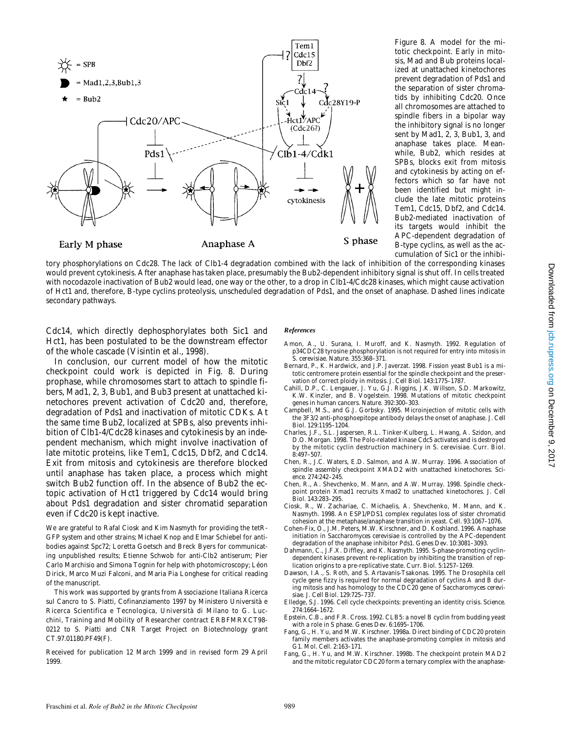

*Figure 8.* A model for the mitotic checkpoint. Early in mitosis, Mad and Bub proteins localized at unattached kinetochores prevent degradation of Pds1 and the separation of sister chromatids by inhibiting Cdc20. Once all chromosomes are attached to spindle fibers in a bipolar way the inhibitory signal is no longer sent by Mad1, 2, 3, Bub1, 3, and anaphase takes place. Meanwhile, Bub2, which resides at SPBs, blocks exit from mitosis and cytokinesis by acting on effectors which so far have not been identified but might include the late mitotic proteins Tem1, Cdc15, Dbf2, and Cdc14. Bub2-mediated inactivation of its targets would inhibit the APC-dependent degradation of B-type cyclins, as well as the accumulation of Sic1 or the inhibi-

tory phosphorylations on Cdc28. The lack of Clb1-4 degradation combined with the lack of inhibition of the corresponding kinases would prevent cytokinesis. After anaphase has taken place, presumably the Bub2-dependent inhibitory signal is shut off. In cells treated with nocodazole inactivation of Bub2 would lead, one way or the other, to a drop in Clb1-4/Cdc28 kinases, which might cause activation of Hct1 and, therefore, B-type cyclins proteolysis, unscheduled degradation of Pds1, and the onset of anaphase. Dashed lines indicate secondary pathways.

Cdc14, which directly dephosphorylates both Sic1 and Hct1, has been postulated to be the downstream effector of the whole cascade (Visintin et al., 1998).

In conclusion, our current model of how the mitotic checkpoint could work is depicted in Fig. 8. During prophase, while chromosomes start to attach to spindle fibers, Mad1, 2, 3, Bub1, and Bub3 present at unattached kinetochores prevent activation of Cdc20 and, therefore, degradation of Pds1 and inactivation of mitotic CDKs. At the same time Bub2, localized at SPBs, also prevents inhibition of Clb1-4/Cdc28 kinases and cytokinesis by an independent mechanism, which might involve inactivation of late mitotic proteins, like Tem1, Cdc15, Dbf2, and Cdc14. Exit from mitosis and cytokinesis are therefore blocked until anaphase has taken place, a process which might switch Bub2 function off. In the absence of Bub2 the ectopic activation of Hct1 triggered by Cdc14 would bring about Pds1 degradation and sister chromatid separation even if Cdc20 is kept inactive.

We are grateful to Rafal Ciosk and Kim Nasmyth for providing the tetR-GFP system and other strains; Michael Knop and Elmar Schiebel for antibodies against Spc72; Loretta Goetsch and Breck Byers for communicating unpublished results; Etienne Schwob for anti-Clb2 antiserum; Pier Carlo Marchisio and Simona Tognin for help with photomicroscopy; Léon Dirick, Marco Muzi Falconi, and Maria Pia Longhese for critical reading of the manuscript.

This work was supported by grants from Associazione Italiana Ricerca sul Cancro to S. Piatti, Cofinanziamento 1997 by Ministero Università e Ricerca Scientifica e Tecnologica, Università di Milano to G. Lucchini, Training and Mobility of Researcher contract ERBFMRXCT98- 0212 to S. Piatti and CNR Target Project on Biotechnology grant CT.97.01180.PF49(F).

Received for publication 12 March 1999 and in revised form 29 April 1999.

#### *References*

- Amon, A., U. Surana, I. Muroff, and K. Nasmyth. 1992. Regulation of p34CDC28 tyrosine phosphorylation is not required for entry into mitosis in *S. cerevisiae. Nature*. 355:368–371.
- Bernard, P., K. Hardwick, and J.P. Javerzat. 1998. Fission yeast Bub1 is a mitotic centromere protein essential for the spindle checkpoint and the preservation of correct ploidy in mitosis. *J. Cell Biol.* 143:1775–1787.
- Cahill, D.P., C. Lengauer, J. Yu, G.J. Riggins, J.K. Willson, S.D. Markowitz, K.W. Kinzler, and B. Vogelstein. 1998. Mutations of mitotic checkpoint genes in human cancers. *Nature.* 392:300–303.
- Campbell, M.S., and G.J. Gorbsky. 1995. Microinjection of mitotic cells with the 3F3/2 anti-phosphoepitope antibody delays the onset of anaphase. *J. Cell Biol.* 129:1195–1204.
- Charles, J.F., S.L. Jaspersen, R.L. Tinker-Kulberg, L. Hwang, A. Szidon, and D.O. Morgan. 1998. The Polo-related kinase Cdc5 activates and is destroyed by the mitotic cyclin destruction machinery in *S. cerevisiae*. *Curr. Biol.* 8:497–507.
- Chen, R., J.C. Waters, E.D. Salmon, and A.W. Murray. 1996. Association of spindle assembly checkpoint XMAD2 with unattached kinetochores. *Science.* 274:242–245.
- Chen, R., A. Shevchenko, M. Mann, and A.W. Murray. 1998. Spindle checkpoint protein Xmad1 recruits Xmad2 to unattached kinetochores. *J. Cell Biol.* 143:283–295.
- Ciosk, R., W. Zachariae, C. Michaelis, A. Shevchenko, M. Mann, and K. Nasmyth. 1998. An ESP1/PDS1 complex regulates loss of sister chromatid cohesion at the metaphase/anaphase transition in yeast. *Cell.* 93:1067–1076.
- Cohen-Fix, O., J.M. Peters, M.W. Kirschner, and D. Koshland. 1996. Anaphase initiation in *Saccharomyces cerevisiae* is controlled by the APC-dependent degradation of the anaphase inhibitor Pds1. *Genes Dev.* 10:3081–3093.
- Dahmann, C., J.F.X. Diffley, and K. Nasmyth. 1995. S-phase-promoting cyclindependent kinases prevent re-replication by inhibiting the transition of replication origins to a pre-replicative state. *Curr. Biol.* 5:1257–1269.
- Dawson, I.A., S. Roth, and S. Artavanis-Tsakonas. 1995. The *Drosophila* cell cycle gene *fizzy* is required for normal degradation of cyclins A and B during mitosis and has homology to the *CDC20* gene of *Saccharomyces cerevisiae*. *J. Cell Biol.* 129:725–737.
- Elledge, S.J. 1996. Cell cycle checkpoints: preventing an identity crisis. *Science.* 274:1664–1672.
- Epstein, C.B., and F.R. Cross. 1992. CLB5: a novel B cyclin from budding yeast with a role in S phase. *Genes Dev.* 6:1695–1706.
- Fang, G., H. Yu, and M.W. Kirschner. 1998a. Direct binding of CDC20 protein family members activates the anaphase-promoting complex in mitosis and G1. *Mol. Cell.* 2:163–171.
- Fang, G., H. Yu, and M.W. Kirschner. 1998b. The checkpoint protein MAD2 and the mitotic regulator CDC20 form a ternary complex with the anaphase-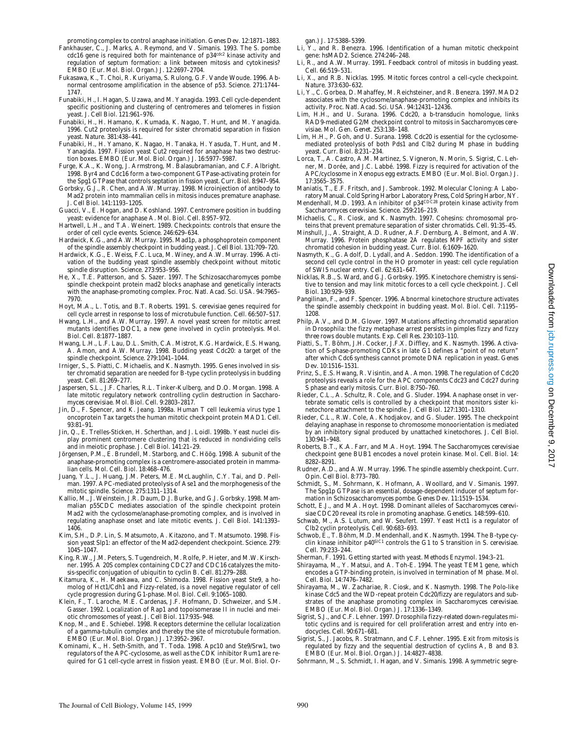promoting complex to control anaphase initiation. *Genes Dev.* 12:1871–1883.

- Fankhauser, C., J. Marks, A. Reymond, and V. Simanis. 1993. The *S. pombe cdc16* gene is required both for maintenance of p34*cdc2* kinase activity and regulation of septum formation: a link between mitosis and cytokinesis? *EMBO (Eur. Mol. Biol. Organ.) J.* 12:2697–2704.
- Fukasawa, K., T. Choi, R. Kuriyama, S. Rulong, G.F. Vande Woude. 1996. Abnormal centrosome amplification in the absence of p53. *Science.* 271:1744– 1747.
- Funabiki, H., I. Hagan, S. Uzawa, and M. Yanagida. 1993. Cell cycle-dependent specific positioning and clustering of centromeres and telomeres in fission yeast. *J. Cell Biol*. 121:961–976.
- Funabiki, H., H. Hamano, K. Kumada, K. Nagao, T. Hunt, and M. Yanagida. 1996. Cut2 proteolysis is required for sister chromatid separation in fission yeast. *Nature.* 381:438–441.
- Funabiki, H., H. Yamano, K. Nagao, H. Tanaka, H. Yasuda, T. Hunt, and M. Yanagida. 1997. Fission yeast Cut2 required for anaphase has two destruction boxes. *EMBO (Eur. Mol. Biol. Organ.) J.* 16:5977–5987.
- Furge, K.A., K. Wong, J. Armstrong, M. Balasubramanian, and C.F. Albright. 1998. Byr4 and Cdc16 form a two-component GTPase-activating protein for the Spg1 GTPase that controls septation in fission yeast. *Curr. Biol.* 8:947–954.
- Gorbsky, G.J., R. Chen, and A.W. Murray. 1998. Microinjection of antibody to Mad2 protein into mammalian cells in mitosis induces premature anaphase. *J. Cell Biol.* 141:1193–1205.
- Guacci, V., E. Hogan, and D. Koshland. 1997. Centromere position in budding yeast: evidence for anaphase A. *Mol. Biol. Cell*. 8:957–972.
- Hartwell, L.H., and T.A. Weinert. 1989. Checkpoints: controls that ensure the order of cell cycle events. *Science.* 246:629–634.
- Hardwick, K.G., and A.W. Murray. 1995. Mad1p, a phosphoprotein component of the spindle assembly checkpoint in budding yeast*. J. Cell Biol.* 131:709–720.
- Hardwick, K.G., E. Weiss, F.C. Luca, M. Winey, and A.W. Murray. 1996. Activation of the budding yeast spindle assembly checkpoint without mitotic spindle disruption. *Science.* 273:953–956.
- He, X., T.E. Patterson, and S. Sazer. 1997. The *Schizosaccharomyces pombe* spindle checkpoint protein mad2 blocks anaphase and genetically interacts with the anaphase-promoting complex. *Proc. Natl. Acad. Sci. USA.* 94:7965– 7970.
- Hoyt, M.A., L. Totis, and B.T. Roberts. 1991. *S. cerevisiae* genes required for cell cycle arrest in response to loss of microtubule function. *Cell.* 66:507–517.
- Hwang, L.H., and A.W. Murray. 1997. A novel yeast screen for mitotic arrest mutants identifies *DOC1*, a new gene involved in cyclin proteolysis. *Mol. Biol. Cell.* 8:1877–1887.
- Hwang, L.H., L.F. Lau, D.L. Smith, C.A. Mistrot, K.G. Hardwick, E.S. Hwang, A. Amon, and A.W. Murray. 1998. Budding yeast Cdc20: a target of the spindle checkpoint. *Science.* 279:1041–1044.
- Irniger, S., S. Piatti, C. Michaelis, and K. Nasmyth. 1995. Genes involved in sister chromatid separation are needed for B-type cyclin proteolysis in budding yeast. *Cell.* 81:269–277.
- Jaspersen, S.L., J.F. Charles, R.L. Tinker-Kulberg, and D.O. Morgan. 1998. A late mitotic regulatory network controlling cyclin destruction in *Saccharomyces cerevisiae*. *Mol. Biol. Cell*. 9:2803–2817.
- Jin, D., F. Spencer, and K. Jeang. 1998a. Human T cell leukemia virus type 1 oncoprotein Tax targets the human mitotic checkpoint protein MAD1. *Cell.* 93:81–91.
- Jin, Q., E. Trelles-Sticken, H. Scherthan, and J. Loidl. 1998b. Yeast nuclei display prominent centromere clustering that is reduced in nondividing cells and in meiotic prophase. *J. Cell Biol.* 141:21–29.
- Jörgensen, P.M., E. Brundell, M. Starborg, and C. Höög. 1998. A subunit of the anaphase-promoting complex is a centromere-associated protein in mammalian cells*. Mol. Cell. Biol.* 18:468–476.
- Juang, Y.L., J. Huang, J.M. Peters, M.E. McLaughlin, C.Y. Tai, and D. Pellman. 1997. APC-mediated proteolysis of Ase1 and the morphogenesis of the mitotic spindle. *Science.* 275:1311–1314.
- Kallio, M., J. Weinstein, J.R. Daum, D.J. Burke, and G.J. Gorbsky. 1998. Mammalian p55CDC mediates association of the spindle checkpoint protein Mad2 with the cyclosome/anaphase-promoting complex, and is involved in regulating anaphase onset and late mitotic events. *J. Cell Biol.* 141:1393– 1406.
- Kim, S.H., D.P. Lin, S. Matsumoto, A. Kitazono, and T. Matsumoto. 1998. Fission yeast Slp1: an effector of the Mad2-dependent checkpoint. *Science.* 279: 1045–1047.
- King, R.W., J.M. Peters, S. Tugendreich, M. Rolfe, P. Hieter, and M.W. Kirschner. 1995. A 20S complex containing CDC27 and CDC16 catalyzes the mitosis-specific conjugation of ubiquitin to cyclin B. *Cell.* 81:279–288.
- Kitamura, K., H. Maekawa, and C. Shimoda. 1998. Fission yeast Ste9, a homolog of Hct1/Cdh1 and Fizzy-related, is a novel negative regulator of cell cycle progression during G1-phase. *Mol. Biol. Cell.* 9:1065–1080.
- Klein, F., T. Laroche, M.E. Cardenas, J.F. Hofmann, D. Schweizer, and S.M. Gasser. 1992. Localization of Rap1 and topoisomerase II in nuclei and meiotic chromosomes of yeast. *J. Cell Biol.* 117:935–948.
- Knop, M., and E. Schiebel. 1998. Receptors determine the cellular localization of a gamma-tubulin complex and thereby the site of microtubule formation. *EMBO (Eur. Mol. Biol. Organ.) J.* 17:3952–3967.
- Kominami, K., H. Seth-Smith, and T. Toda. 1998. Apc10 and Ste9/Srw1, two regulators of the APC-cyclosome, as well as the CDK inhibitor Rum1 are required for G1 cell-cycle arrest in fission yeast. *EMBO (Eur. Mol. Biol. Or-*

*gan.) J.* 17:5388–5399.

- Li, Y., and R. Benezra. 1996. Identification of a human mitotic checkpoint gene: *hsMAD2*. *Science.* 274:246–248.
- Li, R., and A.W. Murray. 1991. Feedback control of mitosis in budding yeast. *Cell.* 66:519–531.
- Li, X., and R.B. Nicklas. 1995. Mitotic forces control a cell-cycle checkpoint. *Nature.* 373:630–632.
- Li, Y., C. Gorbea, D. Mahaffey, M. Reichsteiner, and R. Benezra. 1997. MAD2 associates with the cyclosome/anaphase-promoting complex and inhibits its activity. *Proc. Natl. Acad. Sci. USA.* 94:12431–12436.
- Lim, H.H., and U. Surana. 1996. Cdc20, a b-transducin homologue, links *RAD9*-mediated G2/M checkpoint control to mitosis in *Saccharomyces cerevisiae*. *Mol. Gen. Genet.* 253:138–148.
- Lim, H.H., P. Goh, and U. Surana. 1998. Cdc20 is essential for the cyclosomemediated proteolysis of both Pds1 and Clb2 during M phase in budding yeast. *Curr. Biol.* 8:231–234.
- Lorca, T., A. Castro, A.M. Martinez, S. Vigneron, N. Morin, S. Sigrist, C. Lehner, M. Dorée, and J.C. Labbé. 1998. Fizzy is required for activation of the APC/cyclosome in *Xenopus* egg extracts. *EMBO (Eur. Mol. Biol. Organ.) J.* 17:3565–3575.
- Maniatis, T., E.F. Fritsch, and J. Sambrook. 1992. Molecular Cloning: A Laboratory Manual. Cold Spring Harbor Laboratory Press, Cold Spring Harbor, NY. Mendenhall, M.D. 1993. An inhibitor of p34*CDC28* protein kinase activity from
- *Saccharomyces cerevisiae*. *Science.* 259:216–219.
- Michaelis, C., R. Ciosk, and K. Nasmyth. 1997. Cohesins: chromosomal proteins that prevent premature separation of sister chromatids. *Cell.* 91:35–45.
- Minshull, J., A. Straight, A.D. Rudner, A.F. Dernburg, A. Belmont, and A.W. Murray. 1996. Protein phosphatase 2A regulates MPF activity and sister chromatid cohesion in budding yeast. *Curr. Biol.* 6:1609–1620.
- Nasmyth, K., G. Adolf, D. Lydall, and A. Seddon. 1990. The identification of a second cell cycle control in the *HO* promoter in yeast: cell cycle regulation of SWI5 nuclear entry. *Cell.* 62:631–647.
- Nicklas, R.B., S. Ward, and G.J. Gorbsky. 1995. Kinetochore chemistry is sensitive to tension and may link mitotic forces to a cell cycle checkpoint. *J. Cell Biol.* 130:929–939.
- Pangilinan, F., and F. Spencer. 1996. Abnormal kinetochore structure activates the spindle assembly checkpoint in budding yeast. *Mol. Biol. Cell.* 7:1195– 1208.
- Philp, A.V., and D.M. Glover. 1997. Mutations affecting chromatid separation in *Drosophila*: the *fizzy* metaphase arrest persists in *pimples fizzy* and *fizzy three rows* double mutants. *Exp. Cell Res.* 230:103–110.
- Piatti, S., T. Böhm, J.H. Cocker, J.F.X. Diffley, and K. Nasmyth. 1996. Activation of S-phase-promoting CDKs in late G1 defines a "point of no return" after which Cdc6 synthesis cannot promote DNA replication in yeast. *Genes Dev.* 10:1516–1531.
- Prinz, S., E.S. Hwang, R. Visintin, and A. Amon. 1998. The regulation of Cdc20 proteolysis reveals a role for the APC components Cdc23 and Cdc27 during S phase and early mitosis. *Curr. Biol.* 8:750–760.
- Rieder, C.L., A. Schultz, R. Cole, and G. Sluder. 1994. Anaphase onset in vertebrate somatic cells is controlled by a checkpoint that monitors sister kinetochore attachment to the spindle. *J. Cell Biol.* 127:1301–1310.
- Rieder, C.L., R.W. Cole, A. Khodjakov, and G. Sluder. 1995. The checkpoint delaying anaphase in response to chromosome monoorientation is mediated by an inhibitory signal produced by unattached kinetochores. *J. Cell Biol.* 130:941–948.
- Roberts, B.T., K.A. Farr, and M.A. Hoyt. 1994. The *Saccharomyces cerevisiae* checkpoint gene *BUB1* encodes a novel protein kinase. *Mol. Cell. Biol.* 14: 8282–8291.
- Rudner, A.D., and A.W. Murray. 1996. The spindle assembly checkpoint. *Curr. Opin. Cell Biol.* 8:773–780.
- Schmidt, S., M. Sohrmann, K. Hofmann, A. Woollard, and V. Simanis. 1997. The Spg1p GTPase is an essential, dosage-dependent inducer of septum formation in *Schizosaccharomyces pombe*. *Genes Dev.* 11:1519–1534.
- Schott, E.J., and M.A. Hoyt. 1998. Dominant alleles of *Saccharomyces cerevisiae CDC20* reveal its role in promoting anaphase. *Genetics.* 148:599–610.
- Schwab, M., A.S. Lutum, and W. Seufert. 1997. Yeast Hct1 is a regulator of Clb2 cyclin proteolysis. *Cell.* 90:683–693.
- Schwob, E., T. Böhm, M.D. Mendenhall, and K. Nasmyth. 1994. The B-type cyclin kinase inhibitor p40SIC1 controls the G1 to S transition in *S. cerevisiae*. *Cell.* 79:233–244.
- Sherman, F. 1991. Getting started with yeast. *Methods Enzymol.* 194:3–21.
- Shirayama, M., Y. Matsui, and A. Toh-E. 1994. The yeast *TEM1* gene, which encodes a GTP-binding protein, is involved in termination of M phase. *Mol. Cell. Biol*. 14:7476–7482.
- Shirayama, M., W. Zachariae, R. Ciosk, and K. Nasmyth. 1998. The Polo-like kinase Cdc5 and the WD-repeat protein Cdc20/fizzy are regulators and substrates of the anaphase promoting complex in *Saccharomyces cerevisiae*. *EMBO (Eur. Mol. Biol. Organ.) J.* 17:1336–1349.
- Sigrist, S.J., and C.F. Lehner. 1997. *Drosophila fizzy-related* down-regulates mitotic cyclins and is required for cell proliferation arrest and entry into endocycles. *Cell.* 90:671–681.
- Sigrist, S., J. Jacobs, R. Stratmann, and C.F. Lehner. 1995. Exit from mitosis is regulated by fizzy and the sequential destruction of cyclins A, B and B3. *EMBO (Eur. Mol. Biol. Organ.) J.* 14:4827–4838.
- Sohrmann, M., S. Schmidt, I. Hagan, and V. Simanis. 1998. Asymmetric segre-